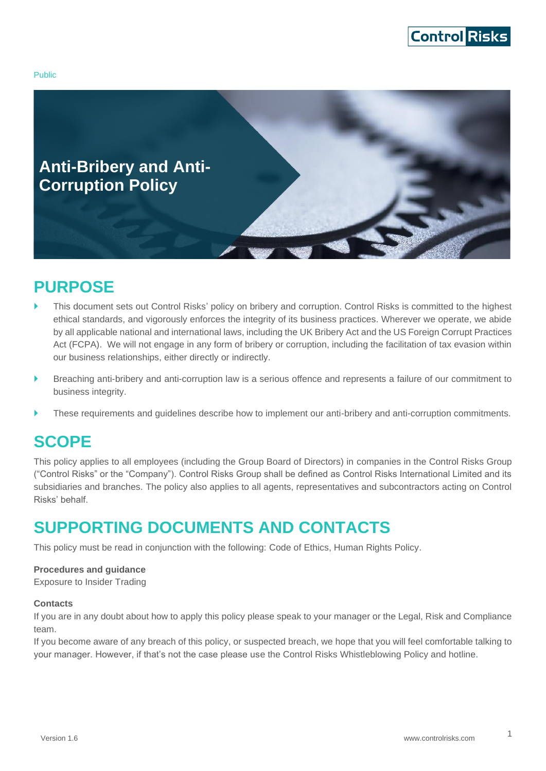

Public



# <span id="page-0-0"></span>**PURPOSE**

- This document sets out Control Risks' policy on bribery and corruption. Control Risks is committed to the highest ethical standards, and vigorously enforces the integrity of its business practices. Wherever we operate, we abide by all applicable national and international laws, including the UK Bribery Act and the US Foreign Corrupt Practices Act (FCPA). We will not engage in any form of bribery or corruption, including the facilitation of tax evasion within our business relationships, either directly or indirectly.
- Breaching anti-bribery and anti-corruption law is a serious offence and represents a failure of our commitment to business integrity.
- These requirements and guidelines describe how to implement our anti-bribery and anti-corruption commitments.

# <span id="page-0-1"></span>**SCOPE**

This policy applies to all employees (including the Group Board of Directors) in companies in the Control Risks Group ("Control Risks" or the "Company"). Control Risks Group shall be defined as Control Risks International Limited and its subsidiaries and branches. The policy also applies to all agents, representatives and subcontractors acting on Control Risks' behalf.

# <span id="page-0-2"></span>**SUPPORTING DOCUMENTS AND CONTACTS**

This policy must be read in conjunction with the following: Code of Ethics, Human Rights Policy.

#### **Procedures and guidance**

Exposure to Insider Trading

#### **Contacts**

If you are in any doubt about how to apply this policy please speak to your manager or the Legal, Risk and Compliance team.

If you become aware of any breach of this policy, or suspected breach, we hope that you will feel comfortable talking to your manager. However, if that's not the case please use the Control Risks Whistleblowing Policy and hotline.

1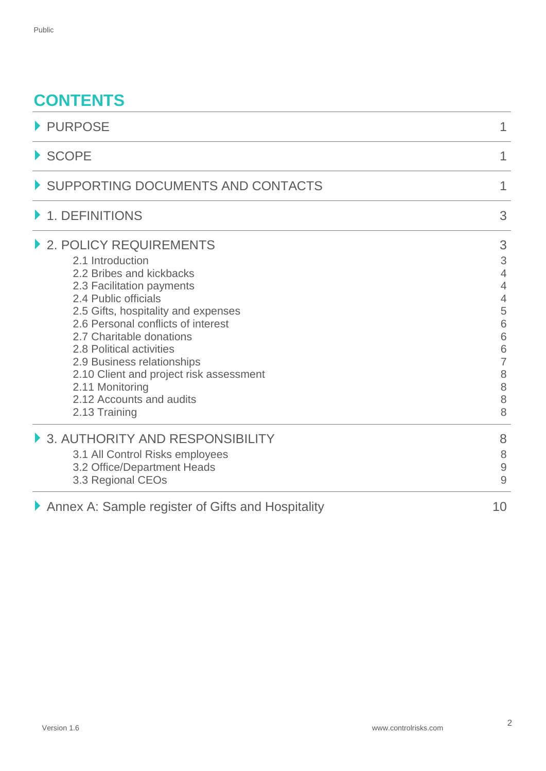# **CONTENTS**

| PURPOSE                                                                                                                                                                                                                                                                                                                                                                                                   | 1                                                                                                                      |  |
|-----------------------------------------------------------------------------------------------------------------------------------------------------------------------------------------------------------------------------------------------------------------------------------------------------------------------------------------------------------------------------------------------------------|------------------------------------------------------------------------------------------------------------------------|--|
| $\blacktriangleright$ SCOPE                                                                                                                                                                                                                                                                                                                                                                               | 1                                                                                                                      |  |
| SUPPORTING DOCUMENTS AND CONTACTS                                                                                                                                                                                                                                                                                                                                                                         | 1                                                                                                                      |  |
| 1. DEFINITIONS                                                                                                                                                                                                                                                                                                                                                                                            | 3                                                                                                                      |  |
| 2. POLICY REQUIREMENTS<br>2.1 Introduction<br>2.2 Bribes and kickbacks<br>2.3 Facilitation payments<br>2.4 Public officials<br>2.5 Gifts, hospitality and expenses<br>2.6 Personal conflicts of interest<br>2.7 Charitable donations<br>2.8 Political activities<br>2.9 Business relationships<br>2.10 Client and project risk assessment<br>2.11 Monitoring<br>2.12 Accounts and audits<br>2.13 Training | 3<br>3<br>$\overline{4}$<br>$\overline{4}$<br>$\overline{4}$<br>5<br>6<br>6<br>6<br>$\overline{7}$<br>8<br>8<br>8<br>8 |  |
| 3. AUTHORITY AND RESPONSIBILITY<br>3.1 All Control Risks employees<br>3.2 Office/Department Heads<br>3.3 Regional CEOs                                                                                                                                                                                                                                                                                    | 8<br>8<br>$\mathcal{G}$<br>9                                                                                           |  |
| Annex A: Sample register of Gifts and Hospitality                                                                                                                                                                                                                                                                                                                                                         | 10                                                                                                                     |  |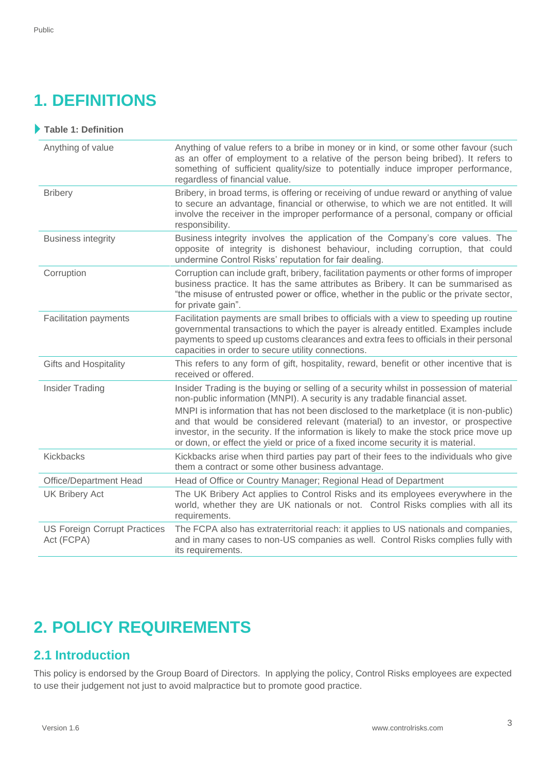# <span id="page-2-0"></span>**1. DEFINITIONS**

| Table 1: Definition                               |                                                                                                                                                                                                                                                                                                                                                                                                                                                                                                                                  |
|---------------------------------------------------|----------------------------------------------------------------------------------------------------------------------------------------------------------------------------------------------------------------------------------------------------------------------------------------------------------------------------------------------------------------------------------------------------------------------------------------------------------------------------------------------------------------------------------|
| Anything of value                                 | Anything of value refers to a bribe in money or in kind, or some other favour (such<br>as an offer of employment to a relative of the person being bribed). It refers to<br>something of sufficient quality/size to potentially induce improper performance,<br>regardless of financial value.                                                                                                                                                                                                                                   |
| <b>Bribery</b>                                    | Bribery, in broad terms, is offering or receiving of undue reward or anything of value<br>to secure an advantage, financial or otherwise, to which we are not entitled. It will<br>involve the receiver in the improper performance of a personal, company or official<br>responsibility.                                                                                                                                                                                                                                        |
| <b>Business integrity</b>                         | Business integrity involves the application of the Company's core values. The<br>opposite of integrity is dishonest behaviour, including corruption, that could<br>undermine Control Risks' reputation for fair dealing.                                                                                                                                                                                                                                                                                                         |
| Corruption                                        | Corruption can include graft, bribery, facilitation payments or other forms of improper<br>business practice. It has the same attributes as Bribery. It can be summarised as<br>"the misuse of entrusted power or office, whether in the public or the private sector,<br>for private gain".                                                                                                                                                                                                                                     |
| <b>Facilitation payments</b>                      | Facilitation payments are small bribes to officials with a view to speeding up routine<br>governmental transactions to which the payer is already entitled. Examples include<br>payments to speed up customs clearances and extra fees to officials in their personal<br>capacities in order to secure utility connections.                                                                                                                                                                                                      |
| <b>Gifts and Hospitality</b>                      | This refers to any form of gift, hospitality, reward, benefit or other incentive that is<br>received or offered.                                                                                                                                                                                                                                                                                                                                                                                                                 |
| <b>Insider Trading</b>                            | Insider Trading is the buying or selling of a security whilst in possession of material<br>non-public information (MNPI). A security is any tradable financial asset.<br>MNPI is information that has not been disclosed to the marketplace (it is non-public)<br>and that would be considered relevant (material) to an investor, or prospective<br>investor, in the security. If the information is likely to make the stock price move up<br>or down, or effect the yield or price of a fixed income security it is material. |
| Kickbacks                                         | Kickbacks arise when third parties pay part of their fees to the individuals who give<br>them a contract or some other business advantage.                                                                                                                                                                                                                                                                                                                                                                                       |
| Office/Department Head                            | Head of Office or Country Manager; Regional Head of Department                                                                                                                                                                                                                                                                                                                                                                                                                                                                   |
| <b>UK Bribery Act</b>                             | The UK Bribery Act applies to Control Risks and its employees everywhere in the<br>world, whether they are UK nationals or not. Control Risks complies with all its<br>requirements.                                                                                                                                                                                                                                                                                                                                             |
| <b>US Foreign Corrupt Practices</b><br>Act (FCPA) | The FCPA also has extraterritorial reach: it applies to US nationals and companies,<br>and in many cases to non-US companies as well. Control Risks complies fully with<br>its requirements.                                                                                                                                                                                                                                                                                                                                     |

# <span id="page-2-1"></span>**2. POLICY REQUIREMENTS**

## <span id="page-2-2"></span>**2.1 Introduction**

This policy is endorsed by the Group Board of Directors. In applying the policy, Control Risks employees are expected to use their judgement not just to avoid malpractice but to promote good practice.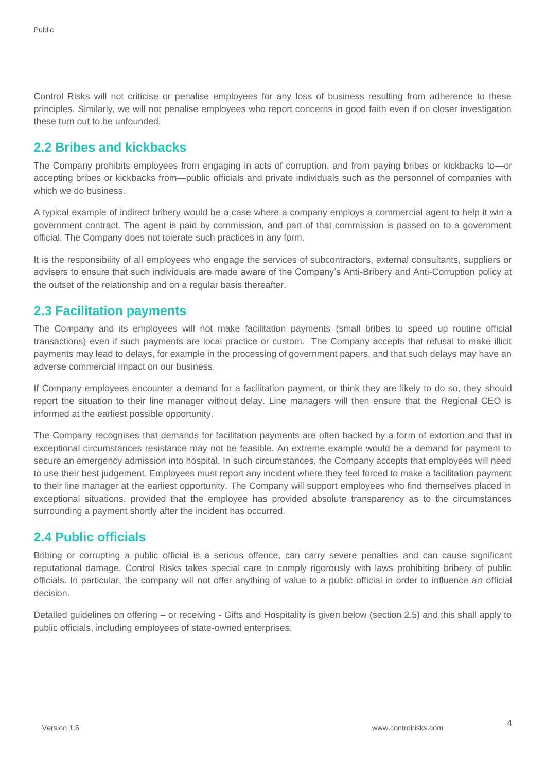Control Risks will not criticise or penalise employees for any loss of business resulting from adherence to these principles. Similarly, we will not penalise employees who report concerns in good faith even if on closer investigation these turn out to be unfounded.

#### <span id="page-3-0"></span>**2.2 Bribes and kickbacks**

The Company prohibits employees from engaging in acts of corruption, and from paying bribes or kickbacks to—or accepting bribes or kickbacks from—public officials and private individuals such as the personnel of companies with which we do business.

A typical example of indirect bribery would be a case where a company employs a commercial agent to help it win a government contract. The agent is paid by commission, and part of that commission is passed on to a government official. The Company does not tolerate such practices in any form.

It is the responsibility of all employees who engage the services of subcontractors, external consultants, suppliers or advisers to ensure that such individuals are made aware of the Company's Anti-Bribery and Anti-Corruption policy at the outset of the relationship and on a regular basis thereafter.

#### <span id="page-3-1"></span>**2.3 Facilitation payments**

The Company and its employees will not make facilitation payments (small bribes to speed up routine official transactions) even if such payments are local practice or custom. The Company accepts that refusal to make illicit payments may lead to delays, for example in the processing of government papers, and that such delays may have an adverse commercial impact on our business.

If Company employees encounter a demand for a facilitation payment, or think they are likely to do so, they should report the situation to their line manager without delay. Line managers will then ensure that the Regional CEO is informed at the earliest possible opportunity.

The Company recognises that demands for facilitation payments are often backed by a form of extortion and that in exceptional circumstances resistance may not be feasible. An extreme example would be a demand for payment to secure an emergency admission into hospital. In such circumstances, the Company accepts that employees will need to use their best judgement. Employees must report any incident where they feel forced to make a facilitation payment to their line manager at the earliest opportunity. The Company will support employees who find themselves placed in exceptional situations, provided that the employee has provided absolute transparency as to the circumstances surrounding a payment shortly after the incident has occurred.

## <span id="page-3-2"></span>**2.4 Public officials**

Bribing or corrupting a public official is a serious offence, can carry severe penalties and can cause significant reputational damage. Control Risks takes special care to comply rigorously with laws prohibiting bribery of public officials. In particular, the company will not offer anything of value to a public official in order to influence an official decision.

Detailed guidelines on offering – or receiving - Gifts and Hospitality is given below (section 2.5) and this shall apply to public officials, including employees of state-owned enterprises.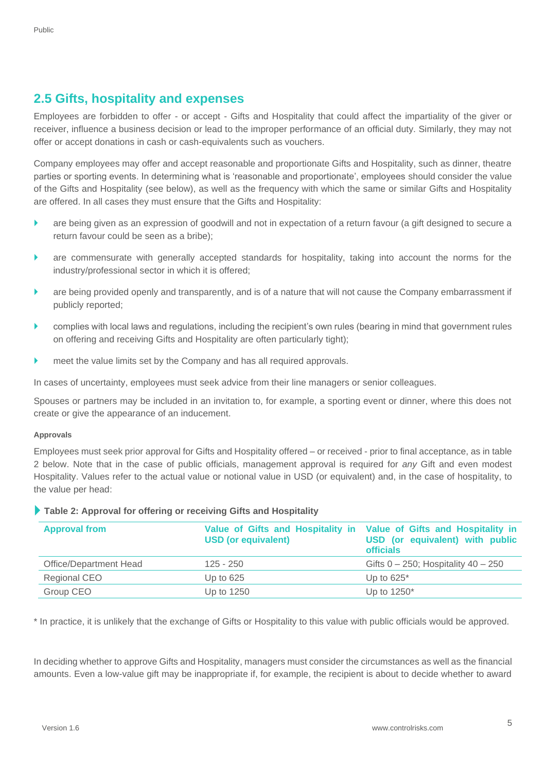### <span id="page-4-0"></span>**2.5 Gifts, hospitality and expenses**

Employees are forbidden to offer - or accept - Gifts and Hospitality that could affect the impartiality of the giver or receiver, influence a business decision or lead to the improper performance of an official duty. Similarly, they may not offer or accept donations in cash or cash-equivalents such as vouchers.

Company employees may offer and accept reasonable and proportionate Gifts and Hospitality, such as dinner, theatre parties or sporting events. In determining what is 'reasonable and proportionate', employees should consider the value of the Gifts and Hospitality (see below), as well as the frequency with which the same or similar Gifts and Hospitality are offered. In all cases they must ensure that the Gifts and Hospitality:

- are being given as an expression of goodwill and not in expectation of a return favour (a gift designed to secure a return favour could be seen as a bribe);
- are commensurate with generally accepted standards for hospitality, taking into account the norms for the industry/professional sector in which it is offered;
- are being provided openly and transparently, and is of a nature that will not cause the Company embarrassment if publicly reported;
- complies with local laws and regulations, including the recipient's own rules (bearing in mind that government rules on offering and receiving Gifts and Hospitality are often particularly tight);
- meet the value limits set by the Company and has all required approvals.

In cases of uncertainty, employees must seek advice from their line managers or senior colleagues.

Spouses or partners may be included in an invitation to, for example, a sporting event or dinner, where this does not create or give the appearance of an inducement.

#### **Approvals**

Employees must seek prior approval for Gifts and Hospitality offered – or received - prior to final acceptance, as in table 2 below. Note that in the case of public officials, management approval is required for *any* Gift and even modest Hospitality. Values refer to the actual value or notional value in USD (or equivalent) and, in the case of hospitality, to the value per head:

|  |  |  | Table 2: Approval for offering or receiving Gifts and Hospitality |  |
|--|--|--|-------------------------------------------------------------------|--|
|--|--|--|-------------------------------------------------------------------|--|

| <b>Approval from</b>   | <b>USD (or equivalent)</b> | Value of Gifts and Hospitality in Value of Gifts and Hospitality in<br>USD (or equivalent) with public<br><b>officials</b> |
|------------------------|----------------------------|----------------------------------------------------------------------------------------------------------------------------|
| Office/Department Head | $125 - 250$                | Gifts $0 - 250$ ; Hospitality $40 - 250$                                                                                   |
| Regional CEO           | Up to $625$                | Up to $625^*$                                                                                                              |
| Group CEO              | Up to 1250                 | Up to $1250^*$                                                                                                             |

\* In practice, it is unlikely that the exchange of Gifts or Hospitality to this value with public officials would be approved.

In deciding whether to approve Gifts and Hospitality, managers must consider the circumstances as well as the financial amounts. Even a low-value gift may be inappropriate if, for example, the recipient is about to decide whether to award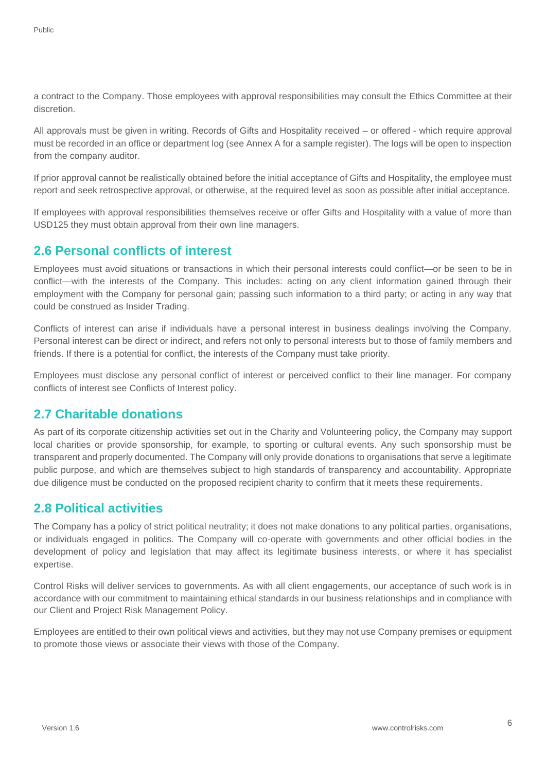a contract to the Company. Those employees with approval responsibilities may consult the Ethics Committee at their discretion.

All approvals must be given in writing. Records of Gifts and Hospitality received – or offered - which require approval must be recorded in an office or department log (see Annex A for a sample register). The logs will be open to inspection from the company auditor.

If prior approval cannot be realistically obtained before the initial acceptance of Gifts and Hospitality, the employee must report and seek retrospective approval, or otherwise, at the required level as soon as possible after initial acceptance.

If employees with approval responsibilities themselves receive or offer Gifts and Hospitality with a value of more than USD125 they must obtain approval from their own line managers.

#### <span id="page-5-0"></span>**2.6 Personal conflicts of interest**

Employees must avoid situations or transactions in which their personal interests could conflict—or be seen to be in conflict—with the interests of the Company. This includes: acting on any client information gained through their employment with the Company for personal gain; passing such information to a third party; or acting in any way that could be construed as Insider Trading.

Conflicts of interest can arise if individuals have a personal interest in business dealings involving the Company. Personal interest can be direct or indirect, and refers not only to personal interests but to those of family members and friends. If there is a potential for conflict, the interests of the Company must take priority.

Employees must disclose any personal conflict of interest or perceived conflict to their line manager. For company conflicts of interest see Conflicts of Interest policy.

#### <span id="page-5-1"></span>**2.7 Charitable donations**

As part of its corporate citizenship activities set out in the Charity and Volunteering policy, the Company may support local charities or provide sponsorship, for example, to sporting or cultural events. Any such sponsorship must be transparent and properly documented. The Company will only provide donations to organisations that serve a legitimate public purpose, and which are themselves subject to high standards of transparency and accountability. Appropriate due diligence must be conducted on the proposed recipient charity to confirm that it meets these requirements.

#### <span id="page-5-2"></span>**2.8 Political activities**

The Company has a policy of strict political neutrality; it does not make donations to any political parties, organisations, or individuals engaged in politics. The Company will co-operate with governments and other official bodies in the development of policy and legislation that may affect its legitimate business interests, or where it has specialist expertise.

Control Risks will deliver services to governments. As with all client engagements, our acceptance of such work is in accordance with our commitment to maintaining ethical standards in our business relationships and in compliance with our Client and Project Risk Management Policy.

Employees are entitled to their own political views and activities, but they may not use Company premises or equipment to promote those views or associate their views with those of the Company.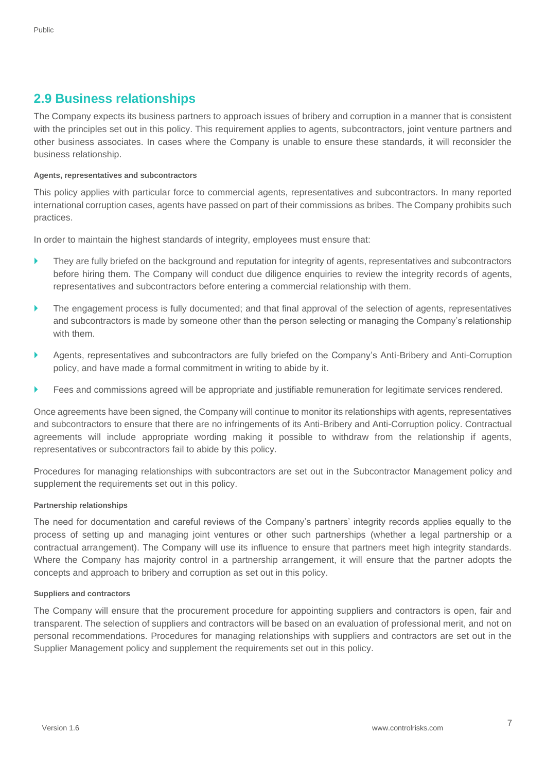#### <span id="page-6-0"></span>**2.9 Business relationships**

The Company expects its business partners to approach issues of bribery and corruption in a manner that is consistent with the principles set out in this policy. This requirement applies to agents, subcontractors, joint venture partners and other business associates. In cases where the Company is unable to ensure these standards, it will reconsider the business relationship.

#### **Agents, representatives and subcontractors**

This policy applies with particular force to commercial agents, representatives and subcontractors. In many reported international corruption cases, agents have passed on part of their commissions as bribes. The Company prohibits such practices.

In order to maintain the highest standards of integrity, employees must ensure that:

- They are fully briefed on the background and reputation for integrity of agents, representatives and subcontractors before hiring them. The Company will conduct due diligence enquiries to review the integrity records of agents, representatives and subcontractors before entering a commercial relationship with them.
- The engagement process is fully documented; and that final approval of the selection of agents, representatives and subcontractors is made by someone other than the person selecting or managing the Company's relationship with them.
- Agents, representatives and subcontractors are fully briefed on the Company's Anti-Bribery and Anti-Corruption policy, and have made a formal commitment in writing to abide by it.
- Fees and commissions agreed will be appropriate and justifiable remuneration for legitimate services rendered.

Once agreements have been signed, the Company will continue to monitor its relationships with agents, representatives and subcontractors to ensure that there are no infringements of its Anti-Bribery and Anti-Corruption policy. Contractual agreements will include appropriate wording making it possible to withdraw from the relationship if agents, representatives or subcontractors fail to abide by this policy.

Procedures for managing relationships with subcontractors are set out in the Subcontractor Management policy and supplement the requirements set out in this policy.

#### **Partnership relationships**

The need for documentation and careful reviews of the Company's partners' integrity records applies equally to the process of setting up and managing joint ventures or other such partnerships (whether a legal partnership or a contractual arrangement). The Company will use its influence to ensure that partners meet high integrity standards. Where the Company has majority control in a partnership arrangement, it will ensure that the partner adopts the concepts and approach to bribery and corruption as set out in this policy.

#### **Suppliers and contractors**

The Company will ensure that the procurement procedure for appointing suppliers and contractors is open, fair and transparent. The selection of suppliers and contractors will be based on an evaluation of professional merit, and not on personal recommendations. Procedures for managing relationships with suppliers and contractors are set out in the Supplier Management policy and supplement the requirements set out in this policy.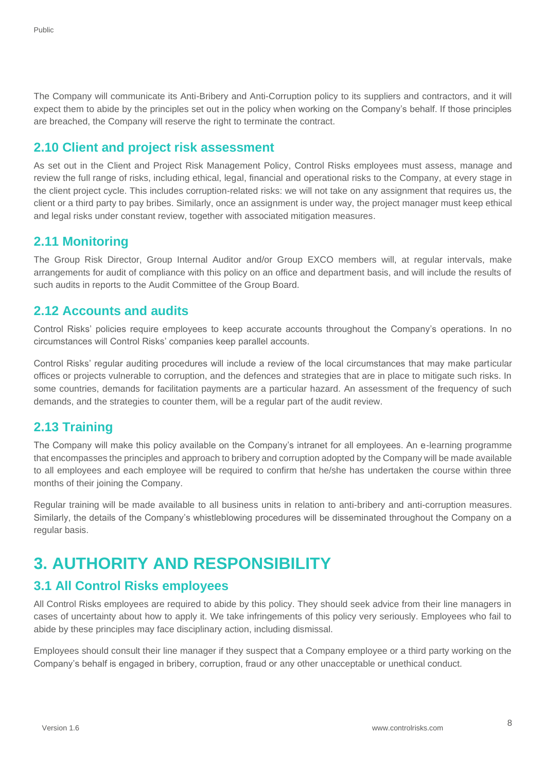The Company will communicate its Anti-Bribery and Anti-Corruption policy to its suppliers and contractors, and it will expect them to abide by the principles set out in the policy when working on the Company's behalf. If those principles are breached, the Company will reserve the right to terminate the contract.

### <span id="page-7-0"></span>**2.10 Client and project risk assessment**

As set out in the Client and Project Risk Management Policy, Control Risks employees must assess, manage and review the full range of risks, including ethical, legal, financial and operational risks to the Company, at every stage in the client project cycle. This includes corruption-related risks: we will not take on any assignment that requires us, the client or a third party to pay bribes. Similarly, once an assignment is under way, the project manager must keep ethical and legal risks under constant review, together with associated mitigation measures.

#### <span id="page-7-1"></span>**2.11 Monitoring**

The Group Risk Director, Group Internal Auditor and/or Group EXCO members will, at regular intervals, make arrangements for audit of compliance with this policy on an office and department basis, and will include the results of such audits in reports to the Audit Committee of the Group Board.

#### <span id="page-7-2"></span>**2.12 Accounts and audits**

Control Risks' policies require employees to keep accurate accounts throughout the Company's operations. In no circumstances will Control Risks' companies keep parallel accounts.

Control Risks' regular auditing procedures will include a review of the local circumstances that may make particular offices or projects vulnerable to corruption, and the defences and strategies that are in place to mitigate such risks. In some countries, demands for facilitation payments are a particular hazard. An assessment of the frequency of such demands, and the strategies to counter them, will be a regular part of the audit review.

## <span id="page-7-3"></span>**2.13 Training**

The Company will make this policy available on the Company's intranet for all employees. An e-learning programme that encompasses the principles and approach to bribery and corruption adopted by the Company will be made available to all employees and each employee will be required to confirm that he/she has undertaken the course within three months of their joining the Company.

Regular training will be made available to all business units in relation to anti-bribery and anti-corruption measures. Similarly, the details of the Company's whistleblowing procedures will be disseminated throughout the Company on a regular basis.

# <span id="page-7-4"></span>**3. AUTHORITY AND RESPONSIBILITY**

## <span id="page-7-5"></span>**3.1 All Control Risks employees**

All Control Risks employees are required to abide by this policy. They should seek advice from their line managers in cases of uncertainty about how to apply it. We take infringements of this policy very seriously. Employees who fail to abide by these principles may face disciplinary action, including dismissal.

Employees should consult their line manager if they suspect that a Company employee or a third party working on the Company's behalf is engaged in bribery, corruption, fraud or any other unacceptable or unethical conduct.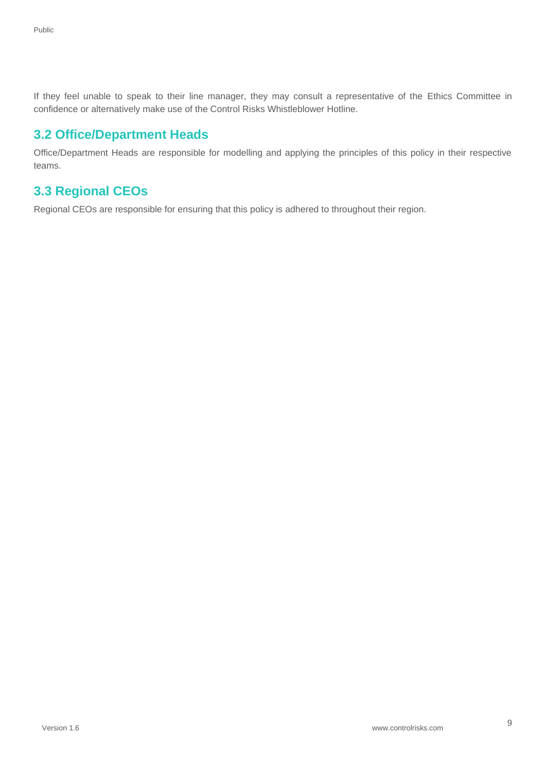If they feel unable to speak to their line manager, they may consult a representative of the Ethics Committee in confidence or alternatively make use of the Control Risks Whistleblower Hotline.

#### <span id="page-8-0"></span>**3.2 Office/Department Heads**

Office/Department Heads are responsible for modelling and applying the principles of this policy in their respective teams.

## <span id="page-8-1"></span>**3.3 Regional CEOs**

Regional CEOs are responsible for ensuring that this policy is adhered to throughout their region.